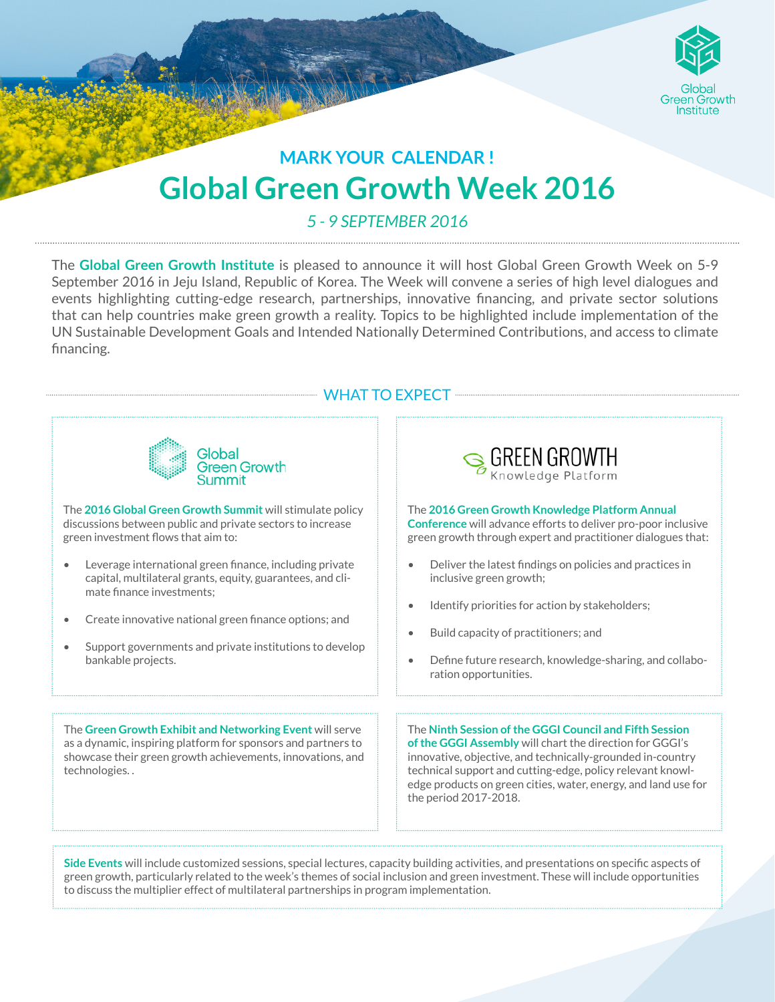

## **Global Green Growth Week 2016 MARK YOUR CALENDAR !**

*5 - 9 SEPTEMBER 2016*

The **Global Green Growth Institute** is pleased to announce it will host Global Green Growth Week on 5-9 September 2016 in Jeju Island, Republic of Korea. The Week will convene a series of high level dialogues and events highlighting cutting-edge research, partnerships, innovative financing, and private sector solutions that can help countries make green growth a reality. Topics to be highlighted include implementation of the UN Sustainable Development Goals and Intended Nationally Determined Contributions, and access to climate financing.

**WHAT TO EXPECT WHAT TO A** 



**Side Events** will include customized sessions, special lectures, capacity building activities, and presentations on specific aspects of green growth, particularly related to the week's themes of social inclusion and green investment. These will include opportunities to discuss the multiplier effect of multilateral partnerships in program implementation.